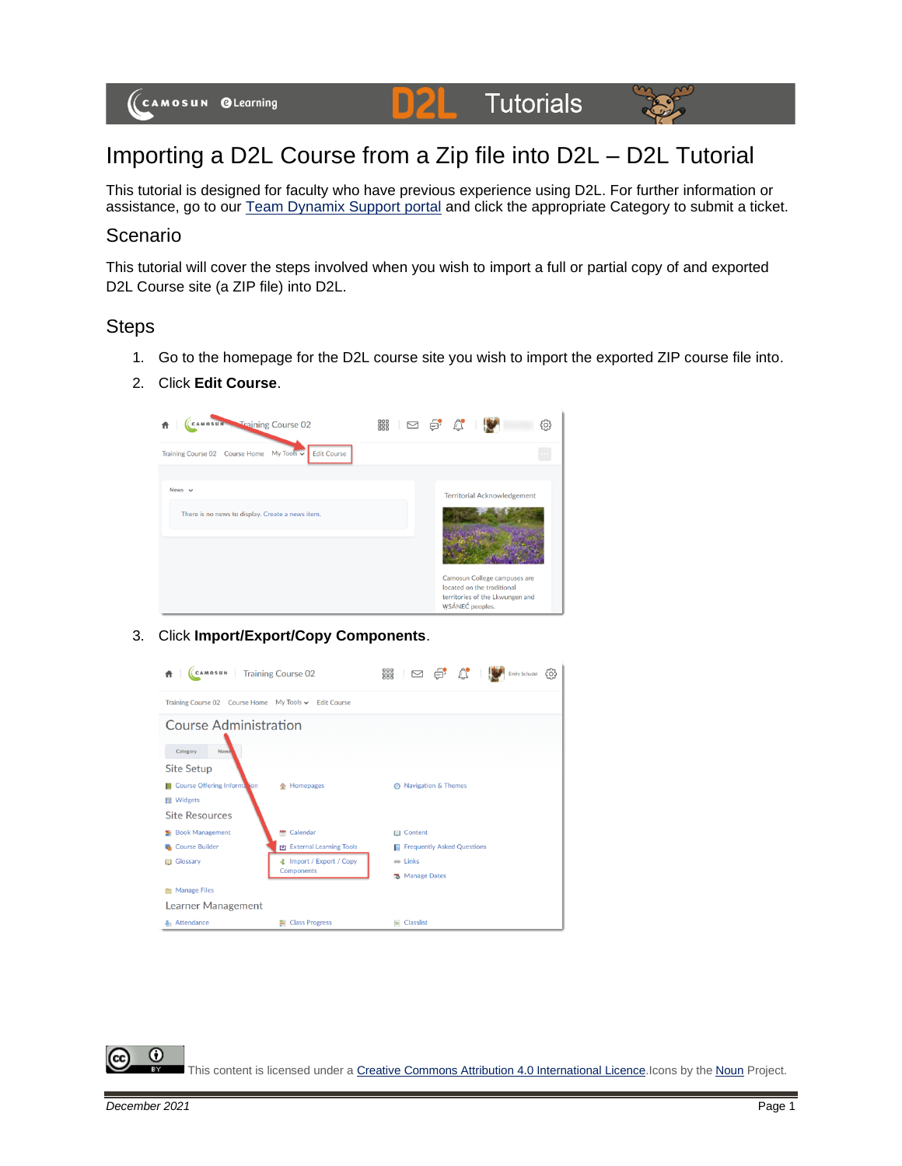

# Importing a D2L Course from a Zip file into D2L – D2L Tutorial

This tutorial is designed for faculty who have previous experience using D2L. For further information or assistance, go to our [Team Dynamix Support portal](https://camosun.teamdynamix.com/TDClient/67/Portal/Requests/ServiceCatalog?CategoryID=523) and click the appropriate Category to submit a ticket.

#### Scenario

This tutorial will cover the steps involved when you wish to import a full or partial copy of and exported D2L Course site (a ZIP file) into D2L.

### Steps

- 1. Go to the homepage for the D2L course site you wish to import the exported ZIP course file into.
- 2. Click **Edit Course**.



#### 3. Click **Import/Export/Copy Components**.



This content is licensed under [a Creative Commons Attribution 4.0 International Licence.I](https://creativecommons.org/licenses/by/4.0/)cons by the [Noun](https://creativecommons.org/website-icons/) Project.

0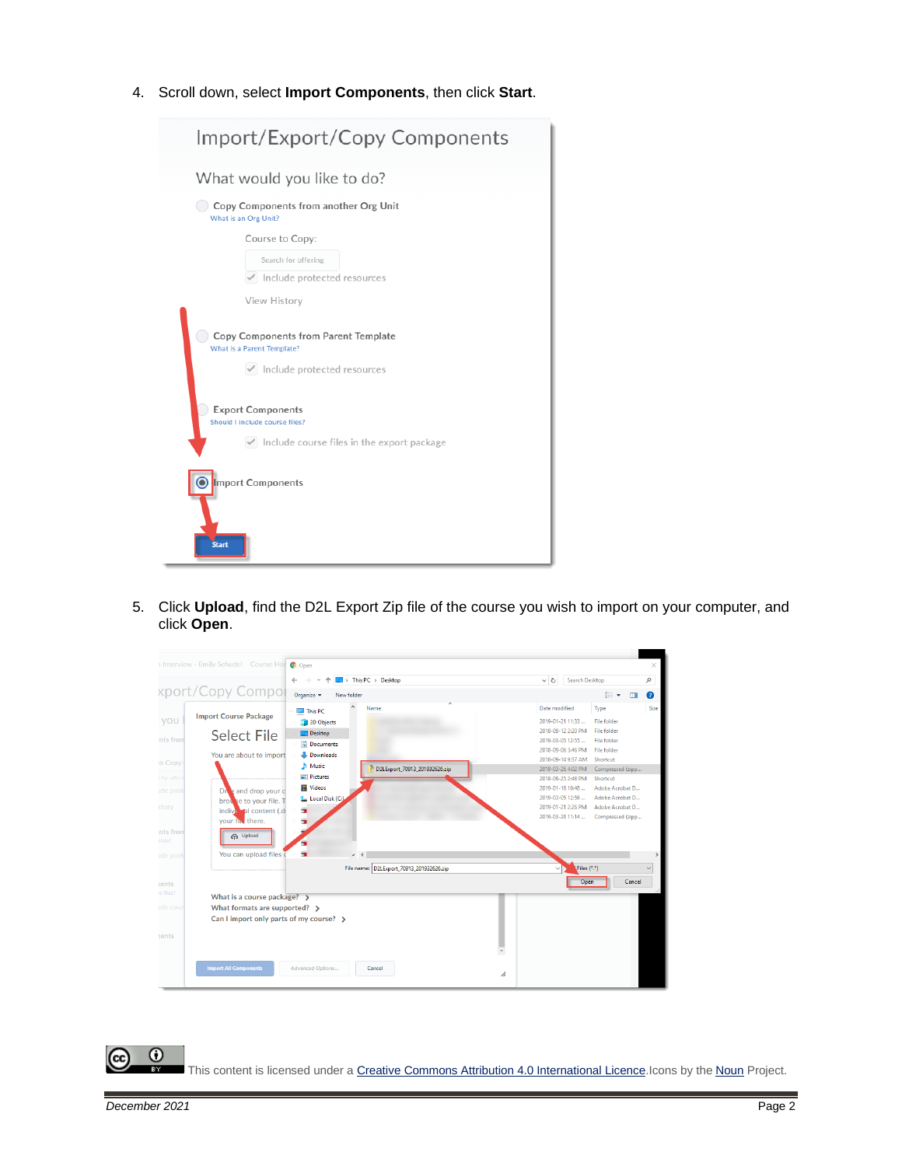4. Scroll down, select **Import Components**, then click **Start**.



5. Click **Upload**, find the D2L Export Zip file of the course you wish to import on your computer, and click **Open**.



This content is licensed under [a Creative Commons Attribution 4.0 International Licence.I](https://creativecommons.org/licenses/by/4.0/)cons by the [Noun](https://creativecommons.org/website-icons/) Project.

 $\odot$